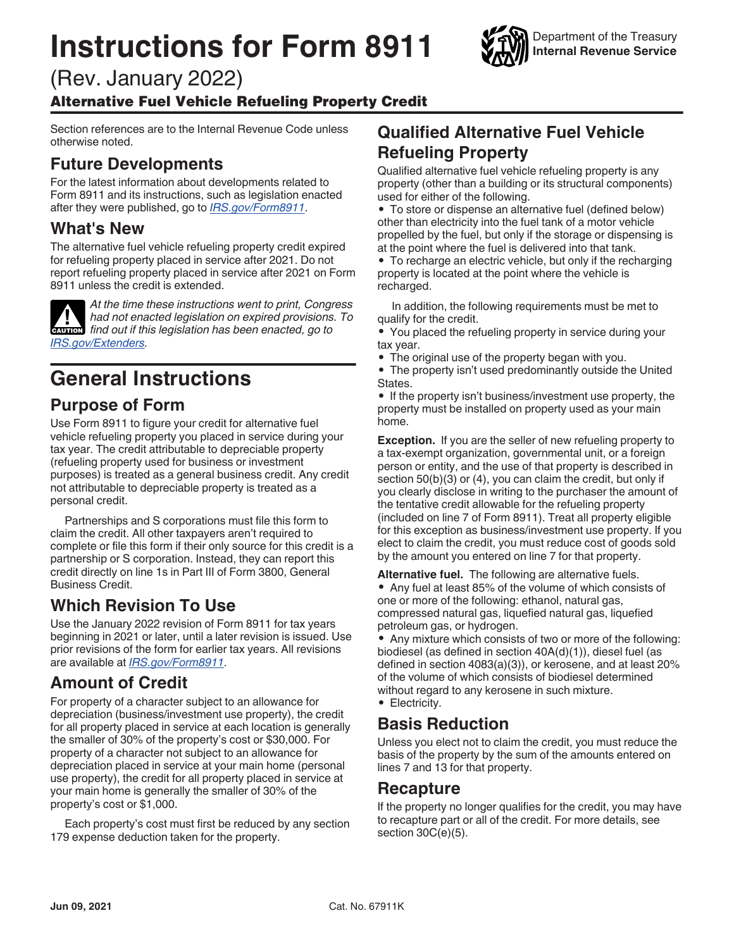# **Instructions for Form 8911**

(Rev. January 2022)

Department of the Treasury **Internal Revenue Service**

Alternative Fuel Vehicle Refueling Property Credit

Section references are to the Internal Revenue Code unless otherwise noted.

# **Future Developments**

For the latest information about developments related to Form 8911 and its instructions, such as legislation enacted after they were published, go to *[IRS.gov/Form8911](https://www.irs.gov/Form8911)*.

### **What's New**

The alternative fuel vehicle refueling property credit expired for refueling property placed in service after 2021. Do not report refueling property placed in service after 2021 on Form 8911 unless the credit is extended.

*At the time these instructions went to print, Congress had not enacted legislation on expired provisions. To find out if this legislation on expired provisions.*<br> **CAUTION** find out if this legislation has been enacted, go to *[IRS.gov/Extenders.](https://www.irs.gov/extenders)*

# **General Instructions**

#### **Purpose of Form**

Use Form 8911 to figure your credit for alternative fuel vehicle refueling property you placed in service during your tax year. The credit attributable to depreciable property (refueling property used for business or investment purposes) is treated as a general business credit. Any credit not attributable to depreciable property is treated as a personal credit.

Partnerships and S corporations must file this form to claim the credit. All other taxpayers aren't required to complete or file this form if their only source for this credit is a partnership or S corporation. Instead, they can report this credit directly on line 1s in Part III of Form 3800, General Business Credit.

### **Which Revision To Use**

Use the January 2022 revision of Form 8911 for tax years beginning in 2021 or later, until a later revision is issued. Use prior revisions of the form for earlier tax years. All revisions are available at *[IRS.gov/Form8911](https://www.irs.gov/Form8911)*.

### **Amount of Credit**

For property of a character subject to an allowance for depreciation (business/investment use property), the credit for all property placed in service at each location is generally the smaller of 30% of the property's cost or \$30,000. For property of a character not subject to an allowance for depreciation placed in service at your main home (personal use property), the credit for all property placed in service at your main home is generally the smaller of 30% of the property's cost or \$1,000.

Each property's cost must first be reduced by any section 179 expense deduction taken for the property.

### **Qualified Alternative Fuel Vehicle Refueling Property**

Qualified alternative fuel vehicle refueling property is any property (other than a building or its structural components) used for either of the following.

• To store or dispense an alternative fuel (defined below) other than electricity into the fuel tank of a motor vehicle propelled by the fuel, but only if the storage or dispensing is at the point where the fuel is delivered into that tank.

• To recharge an electric vehicle, but only if the recharging property is located at the point where the vehicle is recharged.

In addition, the following requirements must be met to qualify for the credit.

• You placed the refueling property in service during your tax year.

• The original use of the property began with you.

• The property isn't used predominantly outside the United States.

• If the property isn't business/investment use property, the property must be installed on property used as your main home.

**Exception.** If you are the seller of new refueling property to a tax-exempt organization, governmental unit, or a foreign person or entity, and the use of that property is described in section 50(b)(3) or (4), you can claim the credit, but only if you clearly disclose in writing to the purchaser the amount of the tentative credit allowable for the refueling property (included on line 7 of Form 8911). Treat all property eligible for this exception as business/investment use property. If you elect to claim the credit, you must reduce cost of goods sold by the amount you entered on line 7 for that property.

**Alternative fuel.** The following are alternative fuels. • Any fuel at least 85% of the volume of which consists of one or more of the following: ethanol, natural gas, compressed natural gas, liquefied natural gas, liquefied petroleum gas, or hydrogen.

• Any mixture which consists of two or more of the following: biodiesel (as defined in section 40A(d)(1)), diesel fuel (as defined in section 4083(a)(3)), or kerosene, and at least 20% of the volume of which consists of biodiesel determined without regard to any kerosene in such mixture. • Electricity.

### **Basis Reduction**

Unless you elect not to claim the credit, you must reduce the basis of the property by the sum of the amounts entered on lines 7 and 13 for that property.

#### **Recapture**

If the property no longer qualifies for the credit, you may have to recapture part or all of the credit. For more details, see section 30C(e)(5).